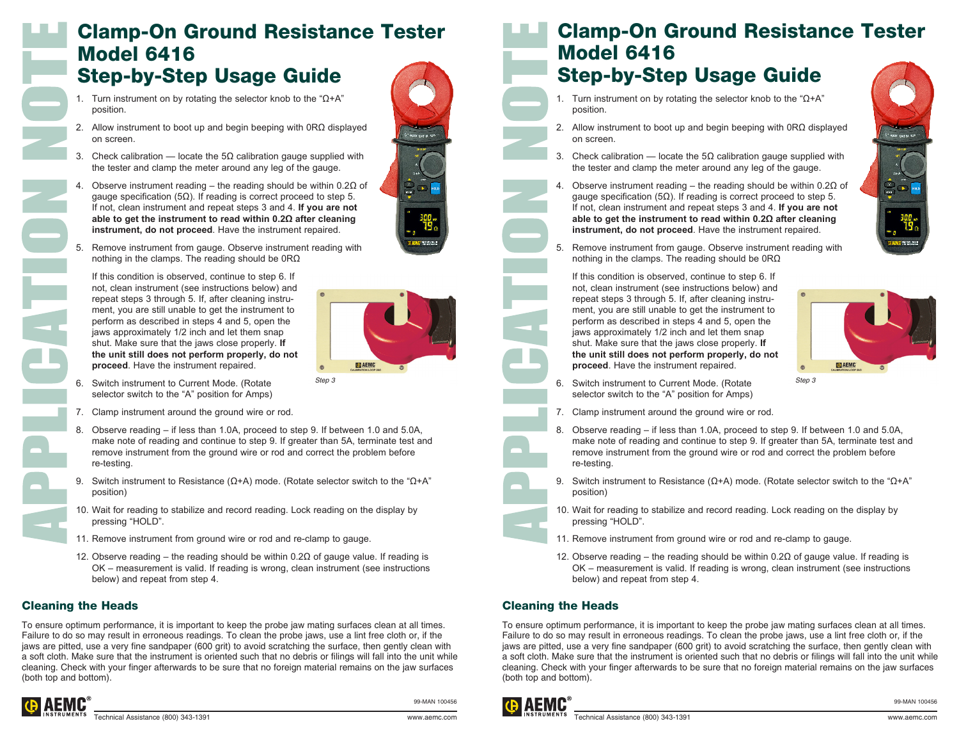## Clamp-On Ground Resistance Tester Model 6416 Step-by-Step Usage Guide

- 1. Turn instrument on by rotating the selector knob to the "Ω+A" position.
- 2. Allow instrument to boot up and begin beeping with 0RΩ displayed on screen.
- 3. Check calibration locate the 5 $\Omega$  calibration gauge supplied with the tester and clamp the meter around any leg of the gauge.
- Observe instrument reading the reading should be within  $0.2Ω$  of gauge specification (5Ω). If reading is correct proceed to step 5. If not, clean instrument and repeat steps 3 and 4. **If you are not able to get the instrument to read within 0.2Ω after cleaning instrument, do not proceed**. Have the instrument repaired.
- Remove instrument from gauge. Observe instrument reading with nothing in the clamps. The reading should be 0RΩ

 If this condition is observed, continue to step 6. If not, clean instrument (see instructions below) and repeat steps 3 through 5. If, after cleaning instrument, you are still unable to get the instrument to perform as described in steps 4 and 5, open the jaws approximately 1/2 inch and let them snap shut. Make sure that the jaws close properly. **If the unit still does not perform properly, do not proceed**. Have the instrument repaired.



**BOOK COT N 83N** 

- 6. Switch instrument to Current Mode. (Rotate selector switch to the "A" position for Amps)
- 7. Clamp instrument around the ground wire or rod.
- 8. Observe reading if less than 1.0A, proceed to step 9. If between 1.0 and 5.0A, make note of reading and continue to step 9. If greater than 5A, terminate test and remove instrument from the ground wire or rod and correct the problem before re-testing.
- 9. Switch instrument to Resistance ( $Ω+A$ ) mode. (Rotate selector switch to the " $Ω+A$ " position)
- 10. Wait for reading to stabilize and record reading. Lock reading on the display by pressing "HOLD".
- 11. Remove instrument from ground wire or rod and re-clamp to gauge.
- 12. Observe reading the reading should be within 0.2Ω of gauge value. If reading is OK – measurement is valid. If reading is wrong, clean instrument (see instructions below) and repeat from step 4.

### Cleaning the Heads

To ensure optimum performance, it is important to keep the probe jaw mating surfaces clean at all times. Failure to do so may result in erroneous readings. To clean the probe jaws, use a lint free cloth or, if the jaws are pitted, use a very fine sandpaper (600 grit) to avoid scratching the surface, then gently clean with a soft cloth. Make sure that the instrument is oriented such that no debris or filings will fall into the unit while cleaning. Check with your finger afterwards to be sure that no foreign material remains on the jaw surfaces (both top and bottom).



99-MAN 100456

## Clamp-On Ground Resistance Tester Model 6416

# Step-by-Step Usage Guide

- 1. Turn instrument on by rotating the selector knob to the "Ω+A" position.
- 2. Allow instrument to boot up and begin beeping with 0RΩ displayed on screen.
- 3. Check calibration locate the 5 $\Omega$  calibration gauge supplied with the tester and clamp the meter around any leg of the gauge.
- Observe instrument reading the reading should be within  $0.2Ω$  of gauge specification (5 $Ω$ ). If reading is correct proceed to step 5. If not, clean instrument and repeat steps 3 and 4. **If you are not able to get the instrument to read within 0.2Ω after cleaning instrument, do not proceed**. Have the instrument repaired.
- Remove instrument from gauge. Observe instrument reading with nothing in the clamps. The reading should be 0RΩ

 If this condition is observed, continue to step 6. If not, clean instrument (see instructions below) and repeat steps 3 through 5. If, after cleaning instrument, you are still unable to get the instrument to perform as described in steps 4 and 5, open the jaws approximately 1/2 inch and let them snap shut. Make sure that the jaws close properly. **If the unit still does not perform properly, do not proceed**. Have the instrument repaired.



- **6.** Switch instrument to Current Mode. (Rotate Step 3 *Step 3* selector switch to the "A" position for Amps)
	- 7. Clamp instrument around the ground wire or rod.
	- 8. Observe reading if less than 1.0A, proceed to step 9. If between 1.0 and 5.0A, make note of reading and continue to step 9. If greater than 5A, terminate test and remove instrument from the ground wire or rod and correct the problem before re-testing.
	- 9. Switch instrument to Resistance ( $Ω+A$ ) mode. (Rotate selector switch to the " $Ω+A$ " position)
	- 10. Wait for reading to stabilize and record reading. Lock reading on the display by pressing "HOLD".
	- 11. Remove instrument from ground wire or rod and re-clamp to gauge.
	- 12. Observe reading the reading should be within 0.2Ω of gauge value. If reading is OK – measurement is valid. If reading is wrong, clean instrument (see instructions below) and repeat from step 4.

#### Cleaning the Heads

To ensure optimum performance, it is important to keep the probe jaw mating surfaces clean at all times. Failure to do so may result in erroneous readings. To clean the probe jaws, use a lint free cloth or, if the jaws are pitted, use a very fine sandpaper (600 grit) to avoid scratching the surface, then gently clean with a soft cloth. Make sure that the instrument is oriented such that no debris or filings will fall into the unit while cleaning. Check with your finger afterwards to be sure that no foreign material remains on the jaw surfaces (both top and bottom).